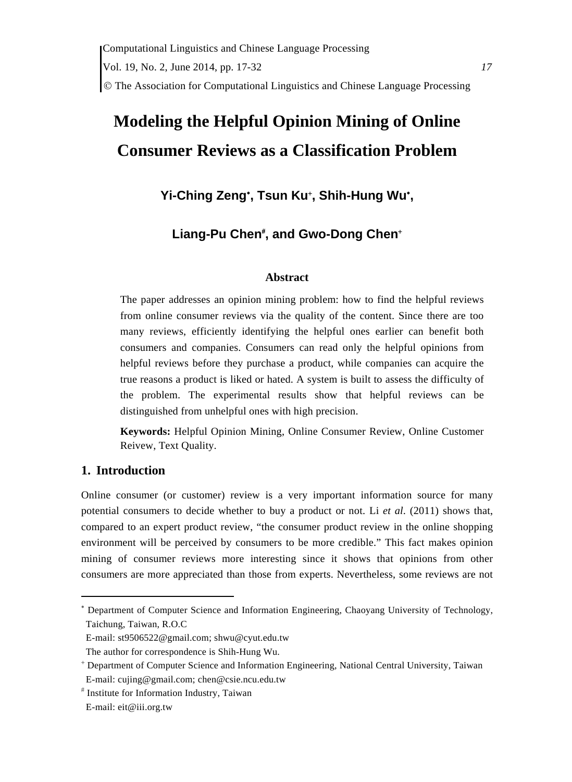# **Modeling the Helpful Opinion Mining of Online Consumer Reviews as a Classification Problem**

# **Yi-Ching Zeng , Tsun Ku , Shih-Hung Wu ,**

# Liang-Pu Chen<sup>#</sup>, and Gwo-Dong Chen<sup>+</sup>

#### **Abstract**

The paper addresses an opinion mining problem: how to find the helpful reviews from online consumer reviews via the quality of the content. Since there are too many reviews, efficiently identifying the helpful ones earlier can benefit both consumers and companies. Consumers can read only the helpful opinions from helpful reviews before they purchase a product, while companies can acquire the true reasons a product is liked or hated. A system is built to assess the difficulty of the problem. The experimental results show that helpful reviews can be distinguished from unhelpful ones with high precision.

**Keywords:** Helpful Opinion Mining, Online Consumer Review, Online Customer Reivew, Text Quality.

## **1. Introduction**

Online consumer (or customer) review is a very important information source for many potential consumers to decide whether to buy a product or not. Li *et al*. (2011) shows that, compared to an expert product review, "the consumer product review in the online shopping environment will be perceived by consumers to be more credible." This fact makes opinion mining of consumer reviews more interesting since it shows that opinions from other consumers are more appreciated than those from experts. Nevertheless, some reviews are not

 Department of Computer Science and Information Engineering, Chaoyang University of Technology, Taichung, Taiwan, R.O.C

E-mail: st9506522@gmail.com; shwu@cyut.edu.tw

The author for correspondence is Shih-Hung Wu.

 Department of Computer Science and Information Engineering, National Central University, Taiwan E-mail: cujing@gmail.com; chen@csie.ncu.edu.tw

 Institute for Information Industry, Taiwan

E-mail: eit@iii.org.tw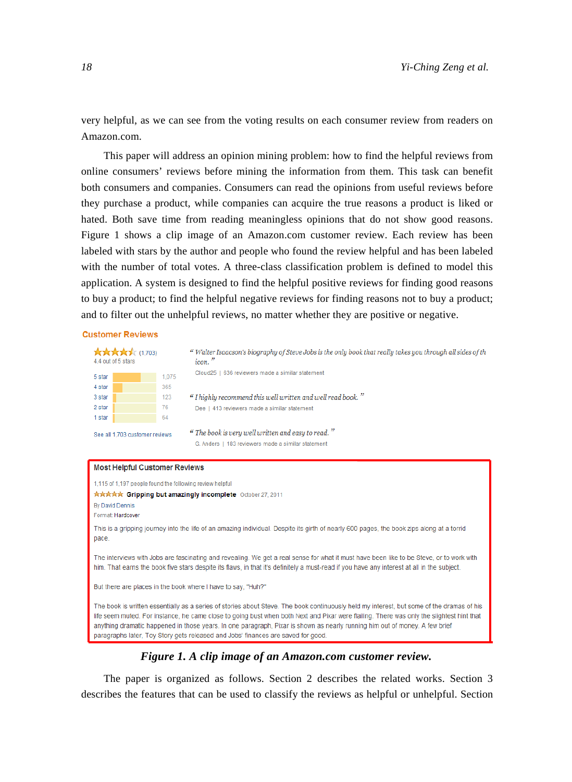very helpful, as we can see from the voting results on each consumer review from readers on Amazon.com.

This paper will address an opinion mining problem: how to find the helpful reviews from online consumers' reviews before mining the information from them. This task can benefit both consumers and companies. Consumers can read the opinions from useful reviews before they purchase a product, while companies can acquire the true reasons a product is liked or hated. Both save time from reading meaningless opinions that do not show good reasons. Figure 1 shows a clip image of an Amazon.com customer review. Each review has been labeled with stars by the author and people who found the review helpful and has been labeled with the number of total votes. A three-class classification problem is defined to model this application. A system is designed to find the helpful positive reviews for finding good reasons to buy a product; to find the helpful negative reviews for finding reasons not to buy a product; and to filter out the unhelpful reviews, no matter whether they are positive or negative.

#### **Customer Reviews**

| <b>Arakakak</b> (1,703)<br>4.4 out of 5 stars<br>5 star<br>4 star<br>3 star<br>2 star<br>1 star<br>See all 1.703 customer reviews                                                                                                                                                      | " Walter Isaacson's biography of Steve Jobs is the only book that really takes you through all sides of th<br>icon."<br>Cloud25   636 reviewers made a similar statement<br>1.075<br>365<br>" I highly recommend this well written and well read book."<br>123<br>76<br>Dee   413 reviewers made a similar statement<br>64<br>" The book is very well written and easy to read." |  |
|----------------------------------------------------------------------------------------------------------------------------------------------------------------------------------------------------------------------------------------------------------------------------------------|----------------------------------------------------------------------------------------------------------------------------------------------------------------------------------------------------------------------------------------------------------------------------------------------------------------------------------------------------------------------------------|--|
|                                                                                                                                                                                                                                                                                        | G. Anders   183 reviewers made a similar statement                                                                                                                                                                                                                                                                                                                               |  |
| <b>Most Helpful Customer Reviews</b>                                                                                                                                                                                                                                                   |                                                                                                                                                                                                                                                                                                                                                                                  |  |
| 1,115 of 1,197 people found the following review helpful                                                                                                                                                                                                                               |                                                                                                                                                                                                                                                                                                                                                                                  |  |
| By David Dennis<br>Format: Hardcover                                                                                                                                                                                                                                                   | ****** Gripping but amazingly incomplete October 27, 2011                                                                                                                                                                                                                                                                                                                        |  |
| pace.                                                                                                                                                                                                                                                                                  | This is a gripping journey into the life of an amazing individual. Despite its girth of nearly 600 pages, the book zips along at a torrid                                                                                                                                                                                                                                        |  |
| The interviews with Jobs are fascinating and revealing. We get a real sense for what it must have been like to be Steve, or to work with<br>him. That earns the book five stars despite its flaws, in that it's definitely a must-read if you have any interest at all in the subject. |                                                                                                                                                                                                                                                                                                                                                                                  |  |
| But there are places in the book where I have to say, "Huh?"                                                                                                                                                                                                                           |                                                                                                                                                                                                                                                                                                                                                                                  |  |
|                                                                                                                                                                                                                                                                                        | The book is written essentially as a series of stories about Steve. The book continuously held my interest, but some of the dramas of his<br>life seem muted. For instance, he came close to going bust when both Next and Pixar were flailing. There was only the slightest hint that                                                                                           |  |

#### *Figure 1. A clip image of an Amazon.com customer review.*

anything dramatic happened in those years. In one paragraph, Pixar is shown as nearly running him out of money. A few brief

paragraphs later, Toy Story gets released and Jobs' finances are saved for good.

The paper is organized as follows. Section 2 describes the related works. Section 3 describes the features that can be used to classify the reviews as helpful or unhelpful. Section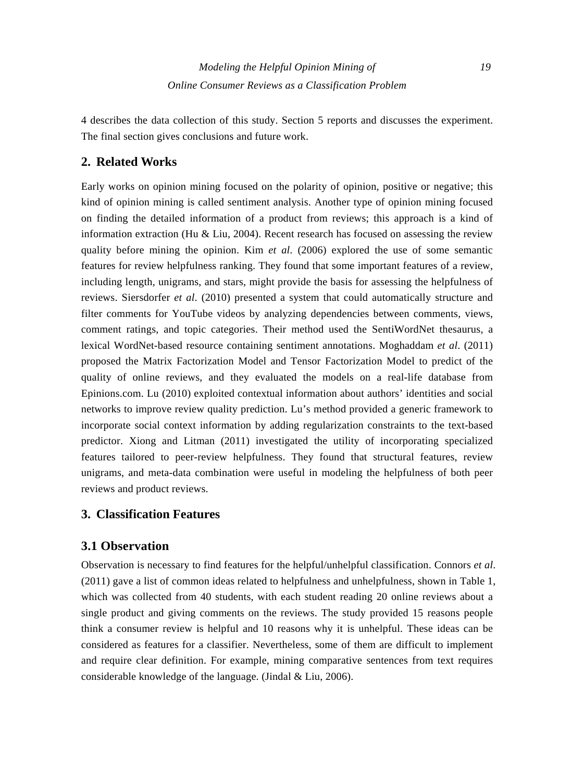4 describes the data collection of this study. Section 5 reports and discusses the experiment. The final section gives conclusions and future work.

# **2. Related Works**

Early works on opinion mining focused on the polarity of opinion, positive or negative; this kind of opinion mining is called sentiment analysis. Another type of opinion mining focused on finding the detailed information of a product from reviews; this approach is a kind of information extraction (Hu  $&$  Liu, 2004). Recent research has focused on assessing the review quality before mining the opinion. Kim *et al*. (2006) explored the use of some semantic features for review helpfulness ranking. They found that some important features of a review, including length, unigrams, and stars, might provide the basis for assessing the helpfulness of reviews. Siersdorfer *et al*. (2010) presented a system that could automatically structure and filter comments for YouTube videos by analyzing dependencies between comments, views, comment ratings, and topic categories. Their method used the SentiWordNet thesaurus, a lexical WordNet-based resource containing sentiment annotations. Moghaddam *et al*. (2011) proposed the Matrix Factorization Model and Tensor Factorization Model to predict of the quality of online reviews, and they evaluated the models on a real-life database from Epinions.com. Lu (2010) exploited contextual information about authors' identities and social networks to improve review quality prediction. Lu's method provided a generic framework to incorporate social context information by adding regularization constraints to the text-based predictor. Xiong and Litman (2011) investigated the utility of incorporating specialized features tailored to peer-review helpfulness. They found that structural features, review unigrams, and meta-data combination were useful in modeling the helpfulness of both peer reviews and product reviews.

## **3. Classification Features**

## **3.1 Observation**

Observation is necessary to find features for the helpful/unhelpful classification. Connors *et al*. (2011) gave a list of common ideas related to helpfulness and unhelpfulness, shown in Table 1, which was collected from 40 students, with each student reading 20 online reviews about a single product and giving comments on the reviews. The study provided 15 reasons people think a consumer review is helpful and 10 reasons why it is unhelpful. These ideas can be considered as features for a classifier. Nevertheless, some of them are difficult to implement and require clear definition. For example, mining comparative sentences from text requires considerable knowledge of the language. (Jindal & Liu, 2006).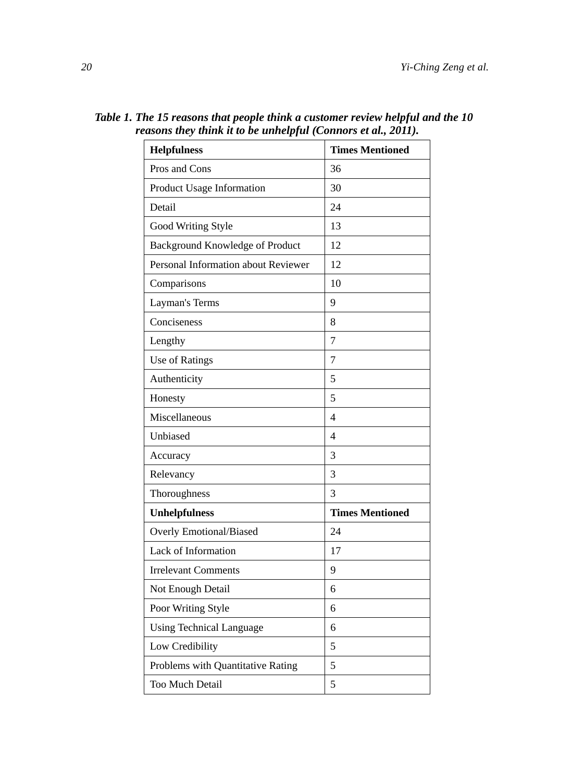| asons incy mink a w ve anneipjal (Connors et al., 2011). |                        |  |  |
|----------------------------------------------------------|------------------------|--|--|
| <b>Helpfulness</b>                                       | <b>Times Mentioned</b> |  |  |
| Pros and Cons                                            | 36                     |  |  |
| Product Usage Information                                | 30                     |  |  |
| Detail                                                   | 24                     |  |  |
| Good Writing Style                                       | 13                     |  |  |
| Background Knowledge of Product                          | 12                     |  |  |
| Personal Information about Reviewer                      | 12                     |  |  |
| Comparisons                                              | 10                     |  |  |
| Layman's Terms                                           | 9                      |  |  |
| Conciseness                                              | 8                      |  |  |
| Lengthy                                                  | $\overline{7}$         |  |  |
| Use of Ratings                                           | $\overline{7}$         |  |  |
| Authenticity                                             | 5                      |  |  |
| Honesty                                                  | 5                      |  |  |
| Miscellaneous                                            | $\overline{4}$         |  |  |
| Unbiased                                                 | $\overline{4}$         |  |  |
| Accuracy                                                 | 3                      |  |  |
| Relevancy                                                | 3                      |  |  |
| Thoroughness                                             | 3                      |  |  |
| <b>Unhelpfulness</b>                                     | <b>Times Mentioned</b> |  |  |
| <b>Overly Emotional/Biased</b>                           | 24                     |  |  |
| Lack of Information                                      | 17                     |  |  |
| <b>Irrelevant Comments</b>                               | 9                      |  |  |
| Not Enough Detail                                        | 6                      |  |  |
| Poor Writing Style                                       | 6                      |  |  |
| <b>Using Technical Language</b>                          | 6                      |  |  |
| Low Credibility                                          | 5                      |  |  |
| Problems with Quantitative Rating                        | 5                      |  |  |
| Too Much Detail                                          | 5                      |  |  |

*Table 1. The 15 reasons that people think a customer review helpful and the 10 reasons they think it to be unhelpful (Connors et al., 2011).*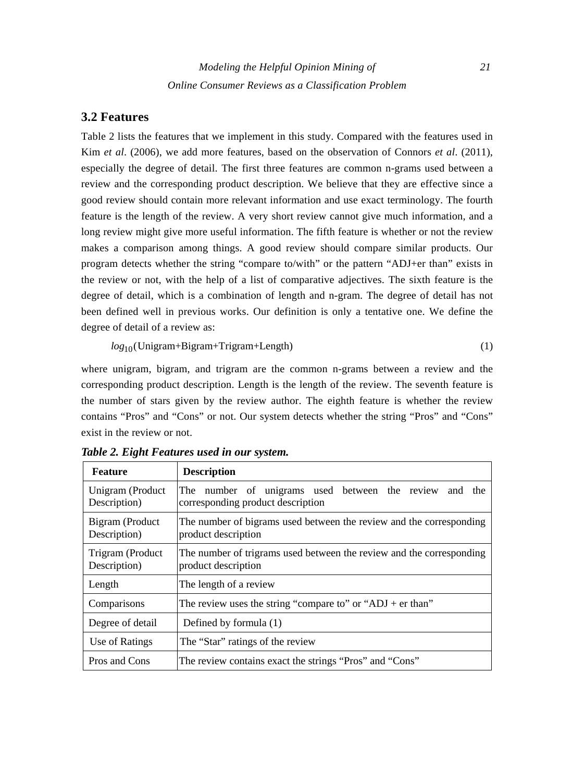## **3.2 Features**

Table 2 lists the features that we implement in this study. Compared with the features used in Kim *et al*. (2006), we add more features, based on the observation of Connors *et al*. (2011), especially the degree of detail. The first three features are common n-grams used between a review and the corresponding product description. We believe that they are effective since a good review should contain more relevant information and use exact terminology. The fourth feature is the length of the review. A very short review cannot give much information, and a long review might give more useful information. The fifth feature is whether or not the review makes a comparison among things. A good review should compare similar products. Our program detects whether the string "compare to/with" or the pattern "ADJ+er than" exists in the review or not, with the help of a list of comparative adjectives. The sixth feature is the degree of detail, which is a combination of length and n-gram. The degree of detail has not been defined well in previous works. Our definition is only a tentative one. We define the degree of detail of a review as:

<sup>10</sup> *log* (Unigram+Bigram+Trigram+Length) (1)

where unigram, bigram, and trigram are the common n-grams between a review and the corresponding product description. Length is the length of the review. The seventh feature is the number of stars given by the review author. The eighth feature is whether the review contains "Pros" and "Cons" or not. Our system detects whether the string "Pros" and "Cons" exist in the review or not.

| <b>Feature</b>                   | <b>Description</b>                                                                          |  |
|----------------------------------|---------------------------------------------------------------------------------------------|--|
| Unigram (Product<br>Description) | The number of unigrams used between the review and the<br>corresponding product description |  |
| Bigram (Product<br>Description)  | The number of bigrams used between the review and the corresponding<br>product description  |  |
| Trigram (Product<br>Description) | The number of trigrams used between the review and the corresponding<br>product description |  |
| Length                           | The length of a review                                                                      |  |
| Comparisons                      | The review uses the string "compare to" or "ADJ + er than"                                  |  |
| Degree of detail                 | Defined by formula (1)                                                                      |  |
| Use of Ratings                   | The "Star" ratings of the review                                                            |  |
| Pros and Cons                    | The review contains exact the strings "Pros" and "Cons"                                     |  |

*Table 2. Eight Features used in our system.*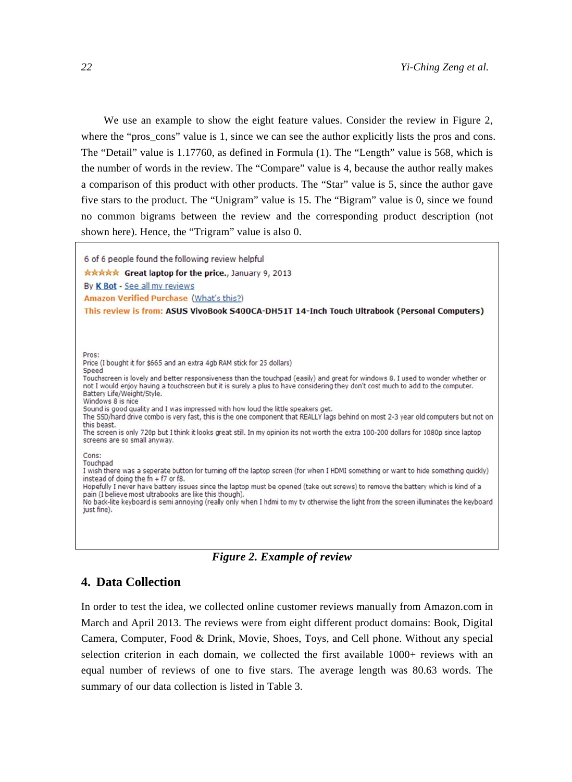We use an example to show the eight feature values. Consider the review in Figure 2, where the "pros-cons" value is 1, since we can see the author explicitly lists the pros and cons. The "Detail" value is 1.17760, as defined in Formula (1). The "Length" value is 568, which is the number of words in the review. The "Compare" value is 4, because the author really makes a comparison of this product with other products. The "Star" value is 5, since the author gave five stars to the product. The "Unigram" value is 15. The "Bigram" value is 0, since we found no common bigrams between the review and the corresponding product description (not shown here). Hence, the "Trigram" value is also 0.

6 of 6 people found the following review helpful \*\*\*\*\* Great laptop for the price., January 9, 2013 By K Bot - See all my reviews Amazon Verified Purchase (What's this?) This review is from: ASUS VivoBook S400CA-DH51T 14-Inch Touch Ultrabook (Personal Computers) Pros: Price (I bought it for \$665 and an extra 4gb RAM stick for 25 dollars) Speed Touchscreen is lovely and better responsiveness than the touchpad (easily) and great for windows 8. I used to wonder whether or not I would enjoy having a touchscreen but it is surely a plus to have considering they don't cost much to add to the computer. Battery Life/Weight/Style. Windows 8 is nice Sound is good quality and I was impressed with how loud the little speakers get. The SSD/hard drive combo is very fast, this is the one component that REALLY lags behind on most 2-3 year old computers but not on

this beast.

The screen is only 720p but I think it looks great still. In my opinion its not worth the extra 100-200 dollars for 1080p since laptop screens are so small anyway.

Cons: Touchpad

I wish there was a seperate button for turning off the laptop screen (for when I HDMI something or want to hide something quickly) instead of doing the fn + f7 or f8. Hopefully I never have battery issues since the laptop must be opened (take out screws) to remove the battery which is kind of a pain (I believe most ultrabooks are like this though). No back-lite keyboard is semi annoying (really only when I hdmi to my tv otherwise the light from the screen illuminates the keyboard just fine).



#### **4. Data Collection**

In order to test the idea, we collected online customer reviews manually from Amazon.com in March and April 2013. The reviews were from eight different product domains: Book, Digital Camera, Computer, Food & Drink, Movie, Shoes, Toys, and Cell phone. Without any special selection criterion in each domain, we collected the first available 1000+ reviews with an equal number of reviews of one to five stars. The average length was 80.63 words. The summary of our data collection is listed in Table 3.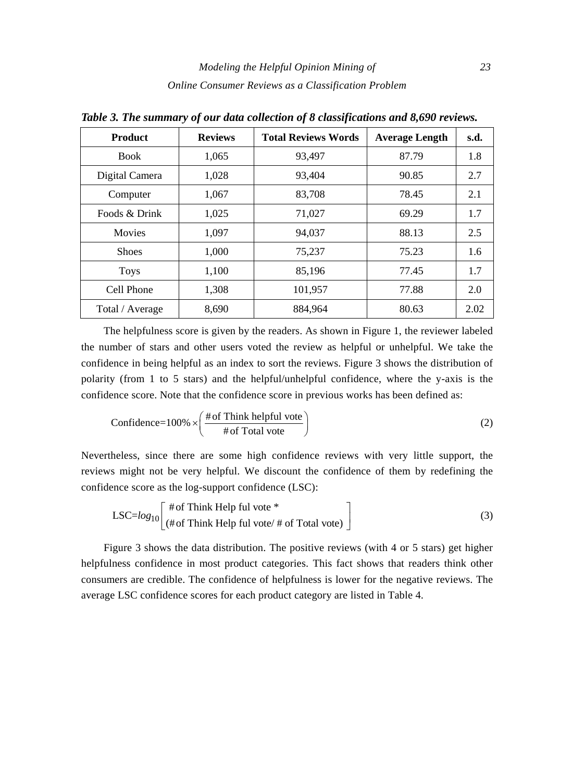| <b>Product</b>  | <b>Reviews</b> | <b>Total Reviews Words</b> | <b>Average Length</b> | s.d. |
|-----------------|----------------|----------------------------|-----------------------|------|
| <b>Book</b>     | 1,065          | 93,497                     | 87.79                 | 1.8  |
| Digital Camera  | 1,028          | 93,404                     | 90.85                 | 2.7  |
| Computer        | 1,067          | 83,708                     | 78.45                 | 2.1  |
| Foods & Drink   | 1,025          | 71,027                     | 69.29                 | 1.7  |
| <b>Movies</b>   | 1,097          | 94,037                     | 88.13                 | 2.5  |
| <b>Shoes</b>    | 1.000          | 75,237                     | 75.23                 | 1.6  |
| <b>Toys</b>     | 1,100          | 85,196                     | 77.45                 | 1.7  |
| Cell Phone      | 1,308          | 101,957                    | 77.88                 | 2.0  |
| Total / Average | 8,690          | 884,964                    | 80.63                 | 2.02 |

*Table 3. The summary of our data collection of 8 classifications and 8,690 reviews.* 

The helpfulness score is given by the readers. As shown in Figure 1, the reviewer labeled the number of stars and other users voted the review as helpful or unhelpful. We take the confidence in being helpful as an index to sort the reviews. Figure 3 shows the distribution of polarity (from 1 to 5 stars) and the helpful/unhelpful confidence, where the y-axis is the confidence score. Note that the confidence score in previous works has been defined as:

Confidence=100% 
$$
\times
$$
  $\left( \frac{\text{# of Think helpful vote}}{\text{# of Total vote}} \right)$  (2)

Nevertheless, since there are some high confidence reviews with very little support, the reviews might not be very helpful. We discount the confidence of them by redefining the confidence score as the log-support confidence (LSC):

$$
LSC = log_{10}\left[\begin{array}{l}\n\text{# of Think Help ful vote *}\n\\
\text{# of Think Help ful vote} \text{# of Total vote}\n\end{array}\right]
$$
\n(3)

Figure 3 shows the data distribution. The positive reviews (with 4 or 5 stars) get higher helpfulness confidence in most product categories. This fact shows that readers think other consumers are credible. The confidence of helpfulness is lower for the negative reviews. The average LSC confidence scores for each product category are listed in Table 4.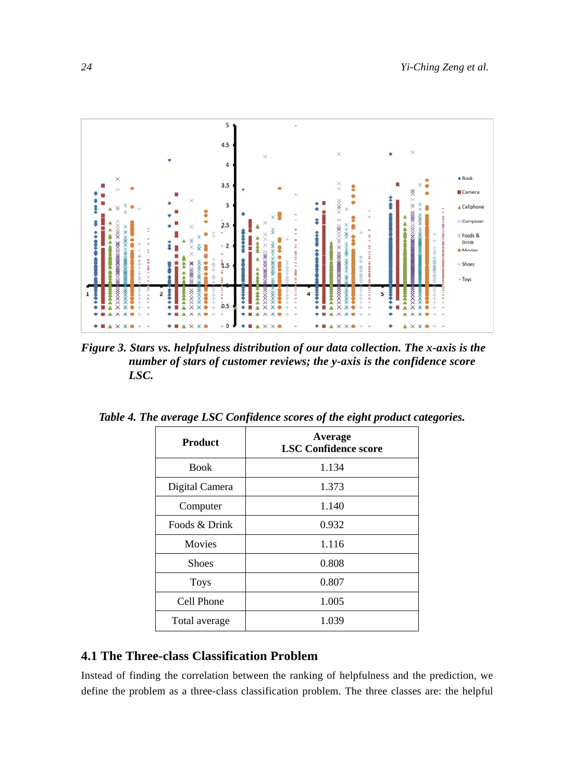

*Figure 3. Stars vs. helpfulness distribution of our data collection. The x-axis is the number of stars of customer reviews; the y-axis is the confidence score LSC.* 

| <b>Product</b> | Average<br><b>LSC Confidence score</b> |
|----------------|----------------------------------------|
| <b>Book</b>    | 1.134                                  |
| Digital Camera | 1.373                                  |
| Computer       | 1.140                                  |
| Foods & Drink  | 0.932                                  |
| Movies         | 1.116                                  |
| <b>Shoes</b>   | 0.808                                  |
| <b>Toys</b>    | 0.807                                  |
| Cell Phone     | 1.005                                  |
| Total average  | 1.039                                  |

*Table 4. The average LSC Confidence scores of the eight product categories.* 

## **4.1 The Three-class Classification Problem**

Instead of finding the correlation between the ranking of helpfulness and the prediction, we define the problem as a three-class classification problem. The three classes are: the helpful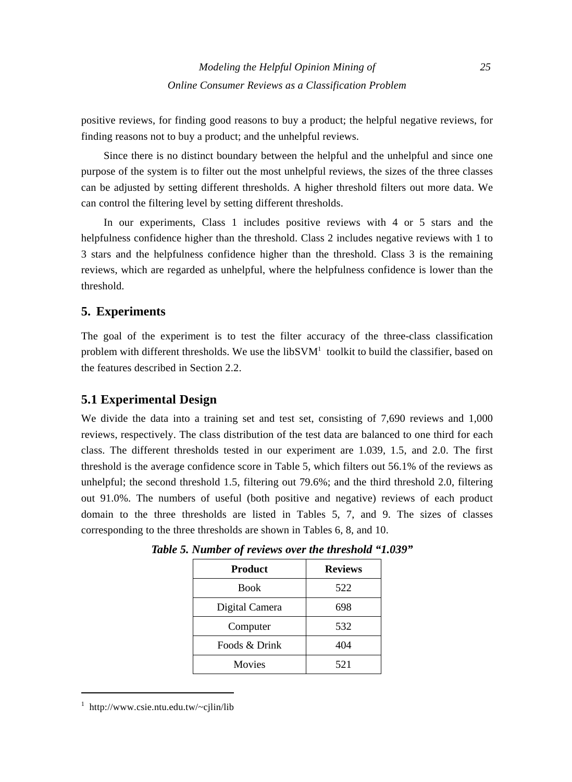positive reviews, for finding good reasons to buy a product; the helpful negative reviews, for finding reasons not to buy a product; and the unhelpful reviews.

Since there is no distinct boundary between the helpful and the unhelpful and since one purpose of the system is to filter out the most unhelpful reviews, the sizes of the three classes can be adjusted by setting different thresholds. A higher threshold filters out more data. We can control the filtering level by setting different thresholds.

In our experiments, Class 1 includes positive reviews with 4 or 5 stars and the helpfulness confidence higher than the threshold. Class 2 includes negative reviews with 1 to 3 stars and the helpfulness confidence higher than the threshold. Class 3 is the remaining reviews, which are regarded as unhelpful, where the helpfulness confidence is lower than the threshold.

## **5. Experiments**

The goal of the experiment is to test the filter accuracy of the three-class classification problem with different thresholds. We use the libSVM<sup>1</sup> toolkit to build the classifier, based on the features described in Section 2.2.

## **5.1 Experimental Design**

We divide the data into a training set and test set, consisting of 7,690 reviews and 1,000 reviews, respectively. The class distribution of the test data are balanced to one third for each class. The different thresholds tested in our experiment are 1.039, 1.5, and 2.0. The first threshold is the average confidence score in Table 5, which filters out 56.1% of the reviews as unhelpful; the second threshold 1.5, filtering out 79.6%; and the third threshold 2.0, filtering out 91.0%. The numbers of useful (both positive and negative) reviews of each product domain to the three thresholds are listed in Tables 5, 7, and 9. The sizes of classes corresponding to the three thresholds are shown in Tables 6, 8, and 10.

| <b>Product</b> | <b>Reviews</b> |
|----------------|----------------|
| <b>Book</b>    | 522            |
| Digital Camera | 698            |
| Computer       | 532            |
| Foods & Drink  | 404            |
| <b>Movies</b>  | 521            |

*Table 5. Number of reviews over the threshold "1.039"* 

 1 http://www.csie.ntu.edu.tw/~cjlin/lib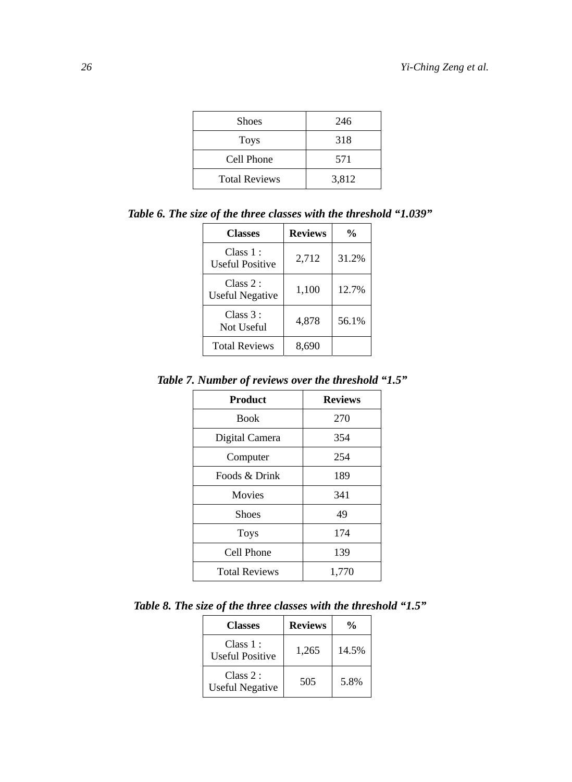| <b>Shoes</b>         | 246   |
|----------------------|-------|
| <b>Toys</b>          | 318   |
| Cell Phone           | 571   |
| <b>Total Reviews</b> | 3,812 |

*Table 6. The size of the three classes with the threshold "1.039"* 

| <b>Classes</b>                     | <b>Reviews</b> | $\frac{0}{0}$ |
|------------------------------------|----------------|---------------|
| Class 1:<br><b>Useful Positive</b> | 2,712          | 31.2%         |
| Class 2:<br><b>Useful Negative</b> | 1,100          | 12.7%         |
| Class 3:<br>Not Useful             | 4,878          | 56.1%         |
| <b>Total Reviews</b>               | 8,690          |               |

*Table 7. Number of reviews over the threshold "1.5"* 

| <b>Product</b>       | <b>Reviews</b> |
|----------------------|----------------|
| <b>Book</b>          | 270            |
| Digital Camera       | 354            |
| Computer             | 254            |
| Foods & Drink        | 189            |
| Movies               | 341            |
| <b>Shoes</b>         | 49             |
| <b>Toys</b>          | 174            |
| Cell Phone<br>139    |                |
| <b>Total Reviews</b> | 1,770          |

*Table 8. The size of the three classes with the threshold "1.5"* 

| <b>Classes</b>                      | <b>Reviews</b> | $\frac{0}{0}$ |
|-------------------------------------|----------------|---------------|
| Class 1 :<br><b>Useful Positive</b> | 1,265          | 14.5%         |
| Class 2:<br><b>Useful Negative</b>  | 505            | 5.8%          |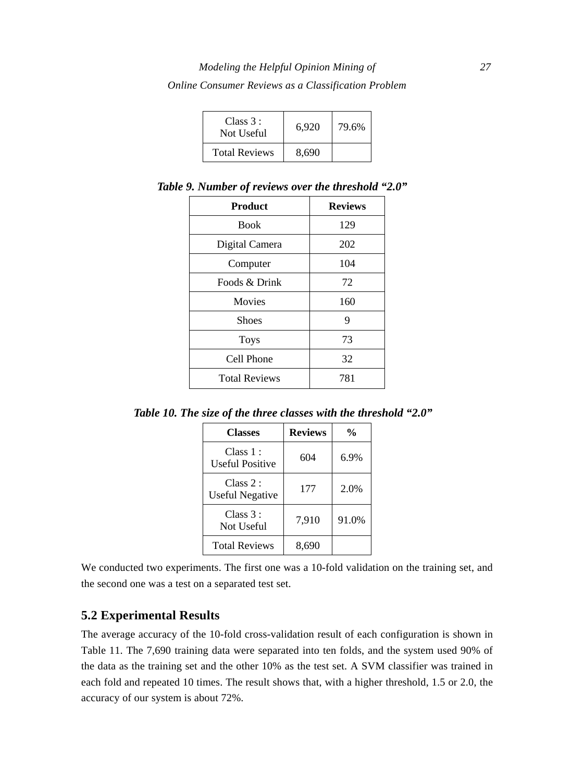| Class $3:$<br>Not Useful | 6.920 | 79.6% |
|--------------------------|-------|-------|
| <b>Total Reviews</b>     | 8,690 |       |

Product Reviews Book 129 Digital Camera 202 Computer 104 Foods & Drink 72 Movies 160 Shoes 9 Toys 73 Cell Phone 32 Total Reviews 781

*Table 9. Number of reviews over the threshold "2.0"* 

*Table 10. The size of the three classes with the threshold "2.0"* 

| <b>Classes</b>               | <b>Reviews</b> | $\frac{0}{0}$ |
|------------------------------|----------------|---------------|
| Class 1 :<br>Useful Positive | 604            | 6.9%          |
| Class 2:<br>Useful Negative  | 177            | 2.0%          |
| Class 3:<br>Not Useful       | 7,910          | 91.0%         |
| <b>Total Reviews</b>         | 8,690          |               |

We conducted two experiments. The first one was a 10-fold validation on the training set, and the second one was a test on a separated test set.

## **5.2 Experimental Results**

The average accuracy of the 10-fold cross-validation result of each configuration is shown in Table 11. The 7,690 training data were separated into ten folds, and the system used 90% of the data as the training set and the other 10% as the test set. A SVM classifier was trained in each fold and repeated 10 times. The result shows that, with a higher threshold, 1.5 or 2.0, the accuracy of our system is about 72%.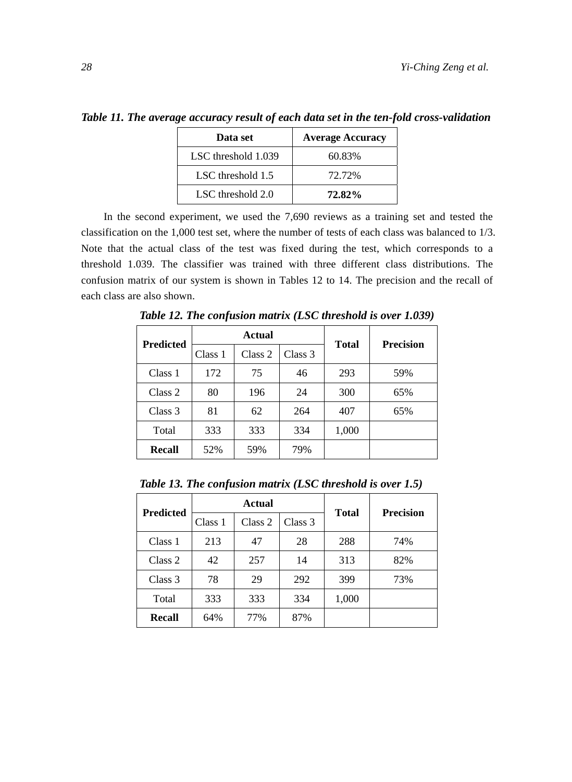*Table 11. The average accuracy result of each data set in the ten-fold cross-validation* 

| Data set            | <b>Average Accuracy</b> |
|---------------------|-------------------------|
| LSC threshold 1.039 | 60.83%                  |
| LSC threshold 1.5   | 72.72%                  |
| LSC threshold 2.0   | 72.82%                  |

In the second experiment, we used the 7,690 reviews as a training set and tested the classification on the 1,000 test set, where the number of tests of each class was balanced to 1/3. Note that the actual class of the test was fixed during the test, which corresponds to a threshold 1.039. The classifier was trained with three different class distributions. The confusion matrix of our system is shown in Tables 12 to 14. The precision and the recall of each class are also shown.

| <b>Predicted</b> | Actual  |         |         | <b>Precision</b> |     |
|------------------|---------|---------|---------|------------------|-----|
|                  | Class 1 | Class 2 | Class 3 | <b>Total</b>     |     |
| Class 1          | 172     | 75      | 46      | 293              | 59% |
| Class 2          | 80      | 196     | 24      | 300              | 65% |
| Class 3          | 81      | 62      | 264     | 407              | 65% |
| Total            | 333     | 333     | 334     | 1,000            |     |
| <b>Recall</b>    | 52%     | 59%     | 79%     |                  |     |

*Table 12. The confusion matrix (LSC threshold is over 1.039)* 

*Table 13. The confusion matrix (LSC threshold is over 1.5)* 

| <b>Predicted</b> | Actual  |         |         | <b>Total</b> | <b>Precision</b> |
|------------------|---------|---------|---------|--------------|------------------|
|                  | Class 1 | Class 2 | Class 3 |              |                  |
| Class 1          | 213     | 47      | 28      | 288          | 74%              |
| Class 2          | 42      | 257     | 14      | 313          | 82%              |
| Class 3          | 78      | 29      | 292     | 399          | 73%              |
| Total            | 333     | 333     | 334     | 1,000        |                  |
| Recall           | 64%     | 77%     | 87%     |              |                  |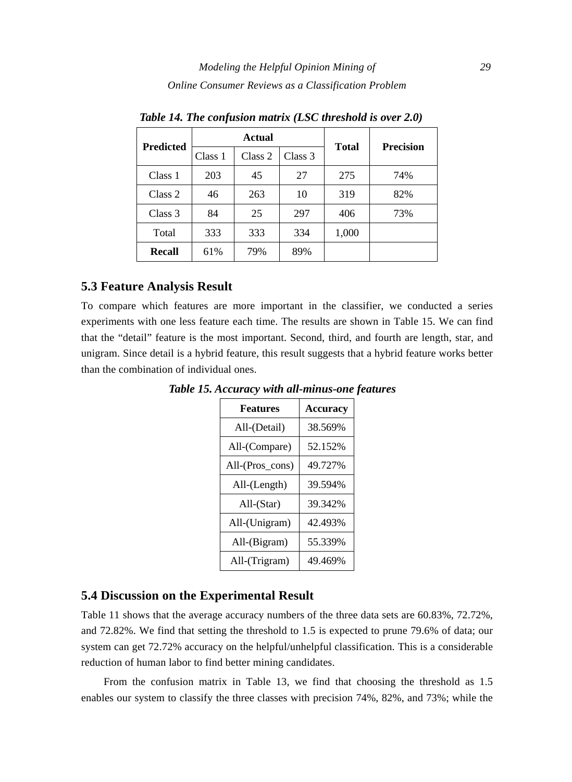| <b>Predicted</b> | Actual  |         | <b>Total</b> | <b>Precision</b> |     |
|------------------|---------|---------|--------------|------------------|-----|
|                  | Class 1 | Class 2 | Class 3      |                  |     |
| Class 1          | 203     | 45      | 27           | 275              | 74% |
| Class 2          | 46      | 263     | 10           | 319              | 82% |
| Class 3          | 84      | 25      | 297          | 406              | 73% |
| Total            | 333     | 333     | 334          | 1,000            |     |
| Recall           | 61%     | 79%     | 89%          |                  |     |

*Table 14. The confusion matrix (LSC threshold is over 2.0)* 

## **5.3 Feature Analysis Result**

To compare which features are more important in the classifier, we conducted a series experiments with one less feature each time. The results are shown in Table 15. We can find that the "detail" feature is the most important. Second, third, and fourth are length, star, and unigram. Since detail is a hybrid feature, this result suggests that a hybrid feature works better than the combination of individual ones.

| <b>Features</b>    | <b>Accuracy</b> |
|--------------------|-----------------|
| All-(Detail)       | 38.569%         |
| All-(Compare)      | 52.152%         |
| All-(Pros_cons)    | 49.727%         |
| $All$ - $(Length)$ | 39.594%         |
| $All- (Star)$      | 39.342%         |
| All-(Unigram)      | 42.493%         |
| All-(Bigram)       | 55.339%         |
| All-(Trigram)      | 49.469%         |

*Table 15. Accuracy with all-minus-one features* 

## **5.4 Discussion on the Experimental Result**

Table 11 shows that the average accuracy numbers of the three data sets are 60.83%, 72.72%, and 72.82%. We find that setting the threshold to 1.5 is expected to prune 79.6% of data; our system can get 72.72% accuracy on the helpful/unhelpful classification. This is a considerable reduction of human labor to find better mining candidates.

From the confusion matrix in Table 13, we find that choosing the threshold as 1.5 enables our system to classify the three classes with precision 74%, 82%, and 73%; while the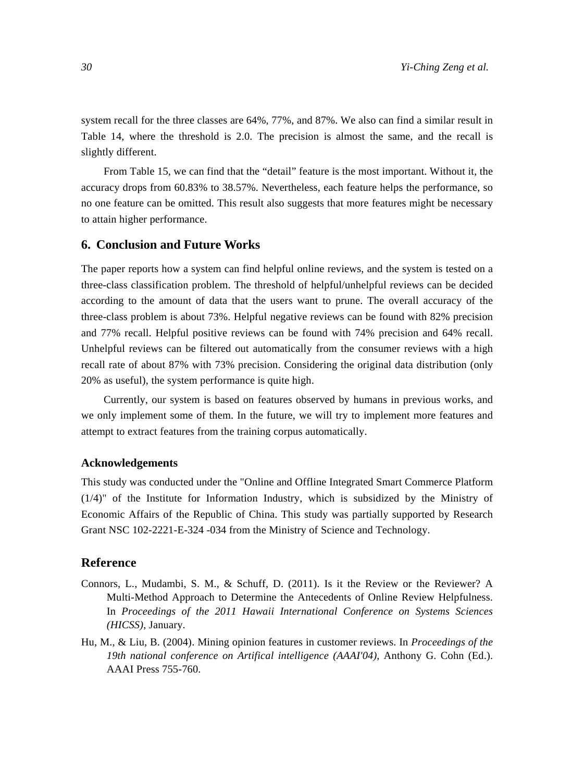system recall for the three classes are 64%, 77%, and 87%. We also can find a similar result in Table 14, where the threshold is 2.0. The precision is almost the same, and the recall is slightly different.

From Table 15, we can find that the "detail" feature is the most important. Without it, the accuracy drops from 60.83% to 38.57%. Nevertheless, each feature helps the performance, so no one feature can be omitted. This result also suggests that more features might be necessary to attain higher performance.

#### **6. Conclusion and Future Works**

The paper reports how a system can find helpful online reviews, and the system is tested on a three-class classification problem. The threshold of helpful/unhelpful reviews can be decided according to the amount of data that the users want to prune. The overall accuracy of the three-class problem is about 73%. Helpful negative reviews can be found with 82% precision and 77% recall. Helpful positive reviews can be found with 74% precision and 64% recall. Unhelpful reviews can be filtered out automatically from the consumer reviews with a high recall rate of about 87% with 73% precision. Considering the original data distribution (only 20% as useful), the system performance is quite high.

Currently, our system is based on features observed by humans in previous works, and we only implement some of them. In the future, we will try to implement more features and attempt to extract features from the training corpus automatically.

#### **Acknowledgements**

This study was conducted under the "Online and Offline Integrated Smart Commerce Platform (1/4)" of the Institute for Information Industry, which is subsidized by the Ministry of Economic Affairs of the Republic of China. This study was partially supported by Research Grant NSC 102-2221-E-324 -034 from the Ministry of Science and Technology.

#### **Reference**

- Connors, L., Mudambi, S. M., & Schuff, D. (2011). Is it the Review or the Reviewer? A Multi-Method Approach to Determine the Antecedents of Online Review Helpfulness. In *Proceedings of the 2011 Hawaii International Conference on Systems Sciences (HICSS)*, January.
- Hu, M., & Liu, B. (2004). Mining opinion features in customer reviews. In *Proceedings of the 19th national conference on Artifical intelligence (AAAI'04)*, Anthony G. Cohn (Ed.). AAAI Press 755-760.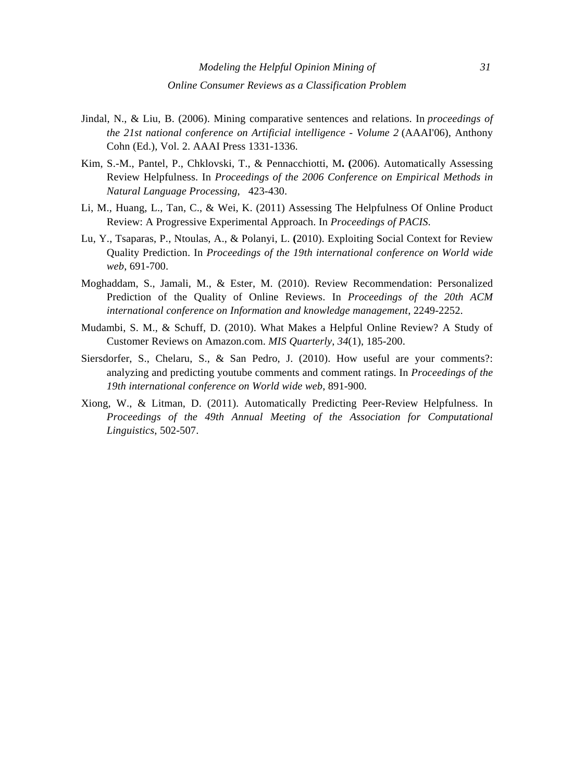- Jindal, N., & Liu, B. (2006). Mining comparative sentences and relations. In *proceedings of the 21st national conference on Artificial intelligence - Volume 2* (AAAI'06), Anthony Cohn (Ed.), Vol. 2. AAAI Press 1331-1336.
- Kim, S.-M., Pantel, P., Chklovski, T., & Pennacchiotti, M**. (**2006). Automatically Assessing Review Helpfulness. In *Proceedings of the 2006 Conference on Empirical Methods in Natural Language Processing*, 423-430.
- Li, M., Huang, L., Tan, C., & Wei, K. (2011) Assessing The Helpfulness Of Online Product Review: A Progressive Experimental Approach. In *Proceedings of PACIS*.
- Lu, Y., Tsaparas, P., Ntoulas, A., & Polanyi, L. **(**2010). Exploiting Social Context for Review Quality Prediction. In *Proceedings of the 19th international conference on World wide web*, 691-700.
- Moghaddam, S., Jamali, M., & Ester, M. (2010). Review Recommendation: Personalized Prediction of the Quality of Online Reviews. In *Proceedings of the 20th ACM international conference on Information and knowledge management*, 2249-2252.
- Mudambi, S. M., & Schuff, D. (2010). What Makes a Helpful Online Review? A Study of Customer Reviews on Amazon.com. *MIS Quarterly*, *34*(1), 185-200.
- Siersdorfer, S., Chelaru, S., & San Pedro, J. (2010). How useful are your comments?: analyzing and predicting youtube comments and comment ratings. In *Proceedings of the 19th international conference on World wide web*, 891-900.
- Xiong, W., & Litman, D. (2011). Automatically Predicting Peer-Review Helpfulness. In *Proceedings of the 49th Annual Meeting of the Association for Computational Linguistics*, 502-507.